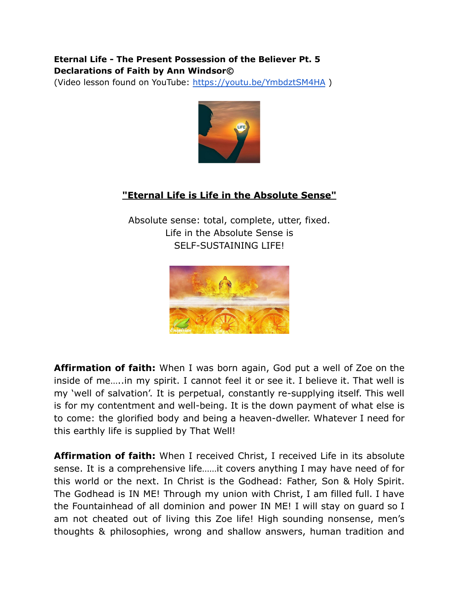## **Eternal Life - The Present Possession of the Believer Pt. 5 Declarations of Faith by Ann Windsor©**

(Video lesson found on YouTube: <https://youtu.be/YmbdztSM4HA> )



## **"Eternal Life is Life in the Absolute Sense"**

Absolute sense: total, complete, utter, fixed. Life in the Absolute Sense is SELF-SUSTAINING LIFE!



**Affirmation of faith:** When I was born again, God put a well of Zoe on the inside of me…..in my spirit. I cannot feel it or see it. I believe it. That well is my 'well of salvation'. It is perpetual, constantly re-supplying itself. This well is for my contentment and well-being. It is the down payment of what else is to come: the glorified body and being a heaven-dweller. Whatever I need for this earthly life is supplied by That Well!

**Affirmation of faith:** When I received Christ, I received Life in its absolute sense. It is a comprehensive life……it covers anything I may have need of for this world or the next. In Christ is the Godhead: Father, Son & Holy Spirit. The Godhead is IN ME! Through my union with Christ, I am filled full. I have the Fountainhead of all dominion and power IN ME! I will stay on guard so I am not cheated out of living this Zoe life! High sounding nonsense, men's thoughts & philosophies, wrong and shallow answers, human tradition and